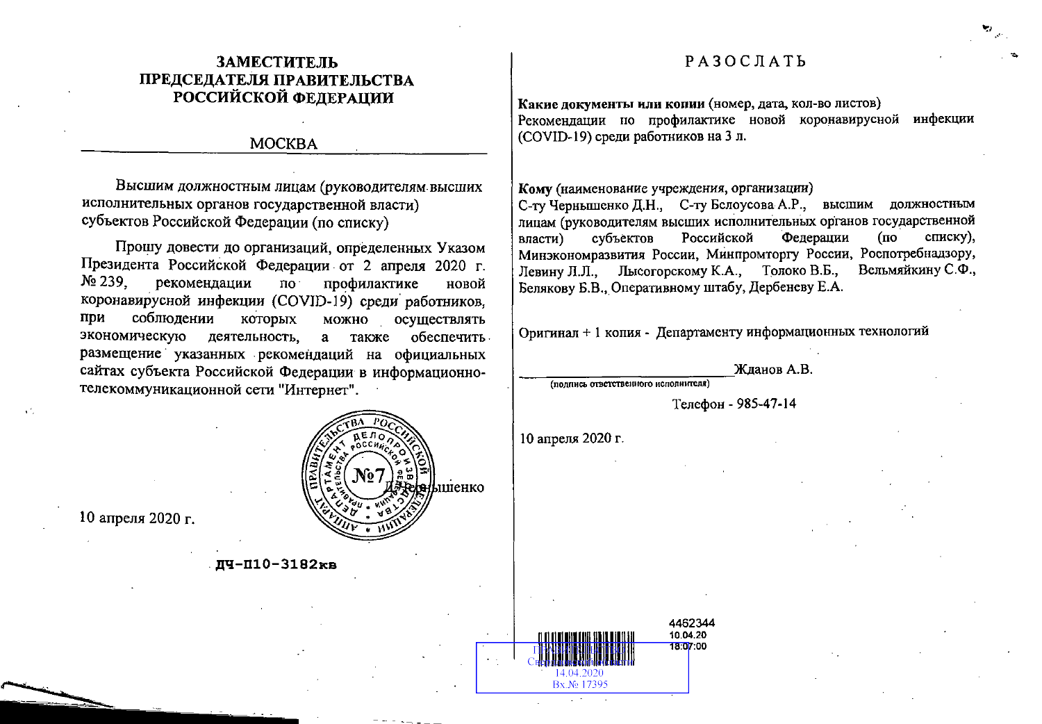## **ЗАМЕСТИТЕЛЬ** ПРЕДСЕДАТЕЛЯ ПРАВИТЕЛЬСТВА РОССИЙСКОЙ ФЕЛЕРАЦИИ

## **MOCKBA**

Высшим должностным лицам (руководителям высших исполнительных органов государственной власти) субъектов Российской Федерации (по списку)

Прошу довести до организаций, определенных Указом Президента Российской Федерации от 2 апреля 2020 г.  $N_2$  239. рекомендации профилактике  $\overline{p}$ новой коронавирусной инфекции (COVID-19) среди работников, соблюдении при которых осуществлять можно экономическую деятельность. а также обеспечить. размещение указанных рекомендаций на официальных сайтах субъекта Российской Федерации в информационнотелекоммуникационной сети "Интернет".



10 апреля 2020 г.

### ДЧ-П10-3182кв

## $P$ A3OCJATb

Какие документы или копии (номер, дата, кол-во листов) Рекоменлации по профилактике новой коронавирусной инфекции (COVID-19) среди работников на 3 л.

#### Кому (наименование учреждения, организации)

С-ту Черньшенко Д.Н., С-ту Белоусова А.Р., высшим должностным лицам (руководителям высших исполнительных органов государственной субъектов Российской Федерации власти) (пo списку), Минэкономразвития России, Минпромторгу России, Роспотребнадзору, Левину Л.Л., Лысогорскому К.А., Толоко В.Б., Вельмяйкину С.Ф., Белякову Б.В., Оперативному штабу, Дербеневу Е.А.

Оригинал + 1 копия - Департаменту информационных технологий

Жланов А.В.

(подпись ответственного исполнителя)

Телефон - 985-47-14

10 апреля 2020 г.

4462344 10.04.20 18:07:00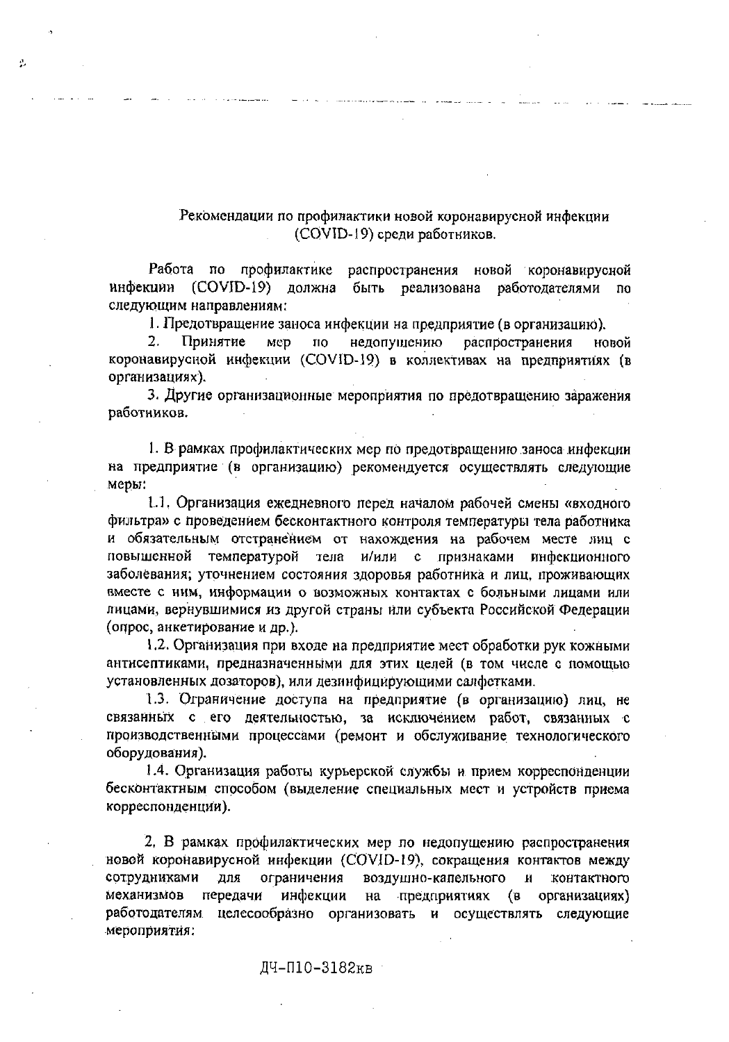### Рекомендации по профилактики новой коронавирусной инфекции (COVID-19) среди работников.

Работа по профилактике распространения новой коронавируеной инфекции (COVID-19) должна быть реализована работодателями по следующим направлениям:

é.

1. Предотвращение заноса инфекции на предприятие (в организацию).

 $2.$ Принятие недопущению распространения MCD **TIO** новой коронавирусной инфекции (COVID-19) в коллективах на предприятиях (в организациях).

3. Другие организационные мероприятия по предотвращению заражения работников.

1. В рамках профилактических мер по предотвращению заноса инфекции на предприятие (в организацию) рекомендуется осуществлять следующие меры:

1.1. Организация ежедневного перед началом рабочей смены «входного фильтра» с проведением бесконтактного контроля температуры тела работника и обязательным отстранением от нахождения на рабочем месте лиц с повышенной температурой тела и/или с признаками инфекционного заболевания; уточнением состояния здоровья работника и лиц, проживающих вместе с ним, информации о возможных контактах с больными лицами или лицами, вернувшимися из другой страны или субъекта Российской Федерации (опрос, анкетирование и др.).

1.2. Организация при входе на предприятие мест обработки рук кожными антисептиками, предназначенными для этих целей (в том числе с помощью установленных дозаторов), или дезинфицирующими салфстками.

1.3. Ограничение доступа на предприятие (в организацию) лиц, не связанных с его деятельностью, за исключением работ, связанных с производственными процессами (ремонт и обслуживание технологического оборудования).

1.4. Организация работы курьерской службы и прием корреспонденции бесконтактным способом (выделение специальных мест и устройств приема корреспонденции).

2. В рамках профилактических мер по недопущению распространения новой коронавирусной инфекции (COVID-19), сокращения контактов между ограничения воздушно-капельного сотрудниками для и контактного механизмов на предприятиях (в передачи инфекции организациях) работодателям целесообразно организовать и осуществлять следующие мероприятия:

ДЧ-П10-3182кв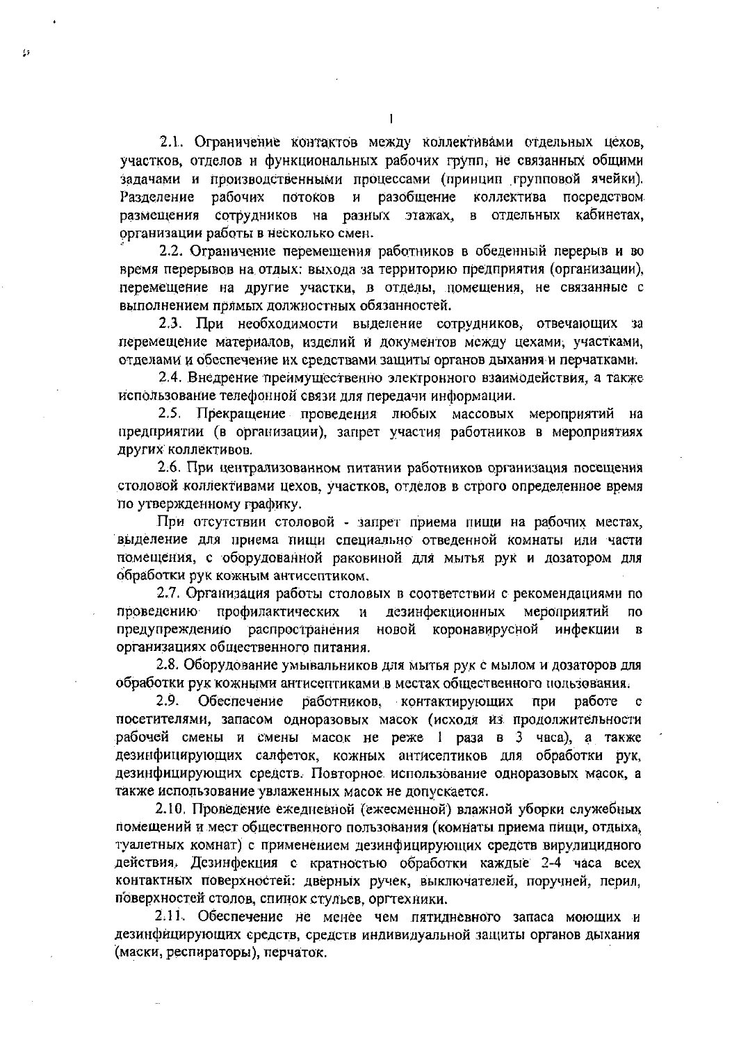2.1. Ограничение контактов между коллективами отдельных цехов, участков, отделов и функциональных рабочих групп, не связанных общими задачами и производственными процессами (принцип групповой ячейки). рабочих потоков и разобщение коллектива посредством Разделение размещения сотрудников на разных этажах, в отдельных кабинетах, организации работы в несколько смен.

2.2. Ограничение перемещения работников в обеденный перерыв и во время перерывов на отдых: выхода за территорию предприятия (организации), перемещение на другие участки, в отделы, помещения, не связанные с выполнением прямых должностных обязанностей.

2.3. При необходимости выделение сотрудников, отвечающих за перемещение материалов, изделий и документов между цехами, участками, отделами и обеспечение их средствами защиты органов дыхания и перчатками.

2.4. Внедрение преимущественно электронного взаимодействия, а также использование телефонной связи для передачи информации.

2.5. Прекращение проведения любых массовых мероприятий на предприятии (в организации), запрет участия работников в мероприятиях других коллективов.

2.6. При централизованном питании работников организация посещения столовой коллективами цехов, участков, отделов в строго определенное время по утвержденному графику.

При отсутствии столовой - запрет приема пищи на рабочих местах, выделение для приема пищи специально отведенной комнаты или части помещения, с оборудованной раковиной для мытья рук и дозатором для обработки рук кожным антисептиком.

2.7. Организация работы столовых в соответствии с рекомендациями по проведению профилактических  $\mathbf{H}$ дезинфекционных мероприятий ПО предупреждению распространения новой коронавирусной инфекции в организациях общественного питания.

2.8. Оборудование умывальников для мытья рук с мылом и дозаторов для обработки рук кожными антисептиками в местах общественного пользования.

Обеспечение 2.9. работников, контактирующих при работе  $\mathbf{c}$ посетителями, запасом одноразовых масок (исходя из продолжительности рабочей смены и смены масок не реже 1 раза в 3 часа), а также дезинфицирующих салфеток, кожных антисептиков для обработки рук, дезинфицирующих средств. Повторное использование одноразовых масок, а также использование увлаженных масок не допускается.

2.10. Проведение ежедневной (ежесменной) влажной уборки служебных помещений и мест общественного пользования (комнаты приема пищи, отдыха, туалетных комнат) с применением дезинфицирующих средств вирулицидного действия. Дезинфекция с кратностью обработки каждые 2-4 часа всех контактных поверхностей: дверных ручек, выключателей, поручней, перил, поверхностей столов, спинок стульев, оргтехники.

2.11. Обеспечение не менее чем пятидневного запаса моющих и дезинфицирующих средств, средств индивидуальной защиты органов дыхания (маски, респираторы), перчаток.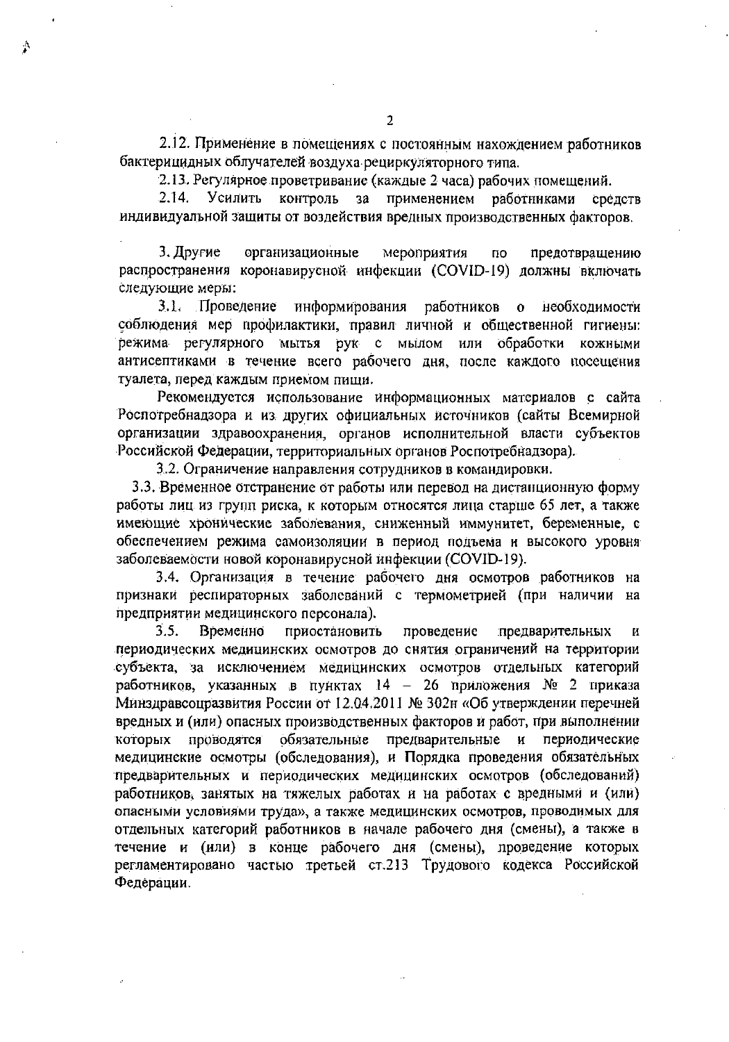2.12. Применение в помещениях с постоянным нахождением работников бактерицидных облучателей воздуха рециркуляторного типа.

2.13. Регулярное проветривание (каждые 2 часа) рабочих помещений.

**Усилить** контроль  $2.14.$  $3a$ применением работниками средств индивидуальной защиты от воздействия вредных производственных факторов.

3. Другие организационные мероприятия no. предотвращению распространения коронавирусной инфекции (COVID-19) должны включать следующие меры:

3.1. Проведение информирования работников о необходимости соблюдения мер профилактики, правил личной и общественной гигиены: режима регулярного мытья рук с мылом или обработки кожными антисептиками в течение всего рабочего дня, после каждого посещения туалета, перед каждым приемом пищи.

Рекомендуется использование информационных материалов с сайта Роспотребнадзора и из других официальных источников (сайты Всемирной организации здравоохранения, органов исполнительной власти субъектов Российской Федерации, территориальных органов Роспотребнадзора).

3.2. Ограничение направления сотрудников в командировки.

3.3. Временное отстранение от работы или перевод на дистанционную форму работы лиц из групп риска, к которым относятся лица старше 65 лет, а также имеющие хронические заболевания, сниженный иммунитет, беременные, с обеспечением режима самоизоляции в период подъема и высокого уровня заболеваемости новой коронавирусной инфекции (COVID-19).

3.4. Организация в течение рабочего дня осмотров работников на признаки респираторных заболеваний с термометрией (при наличии на предприятии медицинского персонала).

 $3.5.$ Временно приостановить проведение предварительных И периодических медицинских осмотров до снятия ограничений на территории субъекта, за исключением медицинских осмотров отдельных категорий работников, указанных в пунктах 14 - 26 приложения № 2 приказа Минздравсоцразвития России от 12.04.2011 № 302н «Об утверждении перечней вредных и (или) опасных производственных факторов и работ, при выполнении проводятся обязательные предварительные и которых периодические медицинские осмотры (обследования), и Порядка проведения обязательных предварительных и периодических медицинских осмотров (обследований) работников, занятых на тяжелых работах и на работах с вредными и (или) опасными условиями труда», а также медицинских осмотров, проводимых для отдельных категорий работников в начале рабочего дня (смены), а также в течение и (или) в конце рабочего дня (смены), проведение которых регламентировано частью третьей ст.213 Трудового кодекса Российской Федерации.